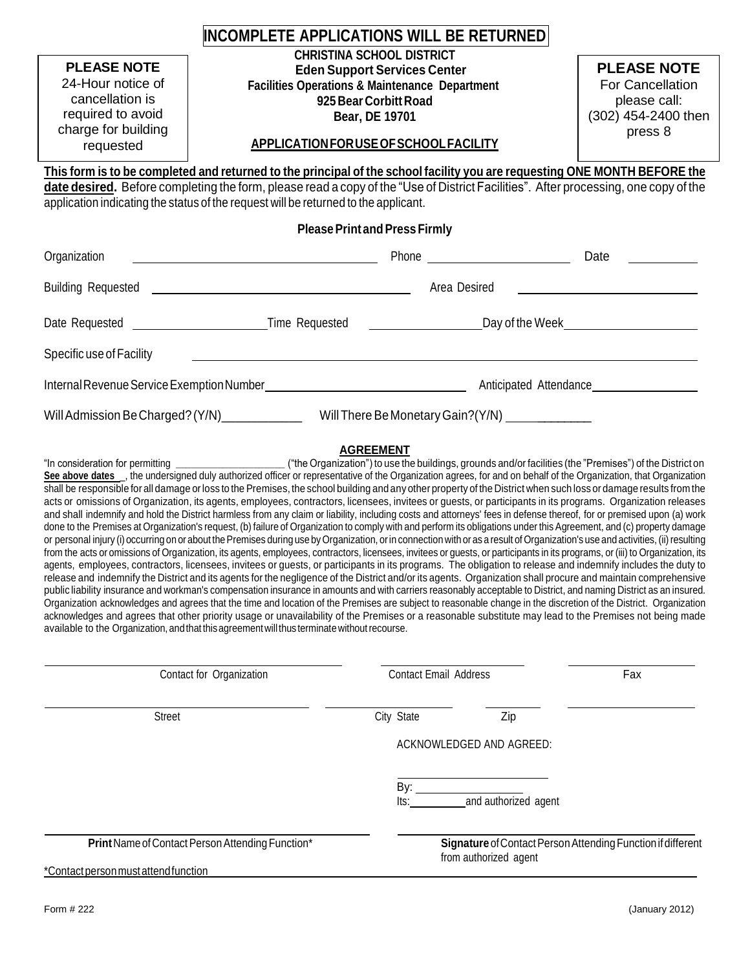| INCOMPLETE APPLICATIONS WILL BE RETURNED                                                                            |                                                                                                                                                                                                                                                                                                                                                                                                                                                                                                                                                                                                                                                                                                                                                                                                                                                                                                                                                                                                                                                                                                                                                                                                                                                                                                                                                                                                                                                                                                                                                                                                                                                                                                                                                                                                                                                                                                                                                                                                                                                                                                                                                                  |                                                                                          |                              |                                                             |  |  |  |
|---------------------------------------------------------------------------------------------------------------------|------------------------------------------------------------------------------------------------------------------------------------------------------------------------------------------------------------------------------------------------------------------------------------------------------------------------------------------------------------------------------------------------------------------------------------------------------------------------------------------------------------------------------------------------------------------------------------------------------------------------------------------------------------------------------------------------------------------------------------------------------------------------------------------------------------------------------------------------------------------------------------------------------------------------------------------------------------------------------------------------------------------------------------------------------------------------------------------------------------------------------------------------------------------------------------------------------------------------------------------------------------------------------------------------------------------------------------------------------------------------------------------------------------------------------------------------------------------------------------------------------------------------------------------------------------------------------------------------------------------------------------------------------------------------------------------------------------------------------------------------------------------------------------------------------------------------------------------------------------------------------------------------------------------------------------------------------------------------------------------------------------------------------------------------------------------------------------------------------------------------------------------------------------------|------------------------------------------------------------------------------------------|------------------------------|-------------------------------------------------------------|--|--|--|
| <b>PLEASE NOTE</b><br>24-Hour notice of<br>cancellation is<br>required to avoid<br>charge for building<br>requested | <b>CHRISTINA SCHOOL DISTRICT</b><br><b>Eden Support Services Center</b><br><b>Facilities Operations &amp; Maintenance Department</b><br>925 Bear Corbitt Road<br>Bear, DE 19701<br>APPLICATION FOR USE OF SCHOOL FACILITY                                                                                                                                                                                                                                                                                                                                                                                                                                                                                                                                                                                                                                                                                                                                                                                                                                                                                                                                                                                                                                                                                                                                                                                                                                                                                                                                                                                                                                                                                                                                                                                                                                                                                                                                                                                                                                                                                                                                        | <b>PLEASE NOTE</b><br>For Cancellation<br>please call:<br>(302) 454-2400 then<br>press 8 |                              |                                                             |  |  |  |
|                                                                                                                     | This form is to be completed and returned to the principal of the school facility you are requesting ONE MONTH BEFORE the                                                                                                                                                                                                                                                                                                                                                                                                                                                                                                                                                                                                                                                                                                                                                                                                                                                                                                                                                                                                                                                                                                                                                                                                                                                                                                                                                                                                                                                                                                                                                                                                                                                                                                                                                                                                                                                                                                                                                                                                                                        |                                                                                          |                              |                                                             |  |  |  |
|                                                                                                                     | date desired. Before completing the form, please read a copy of the "Use of District Facilities". After processing, one copy of the<br>application indicating the status of the request will be returned to the applicant.                                                                                                                                                                                                                                                                                                                                                                                                                                                                                                                                                                                                                                                                                                                                                                                                                                                                                                                                                                                                                                                                                                                                                                                                                                                                                                                                                                                                                                                                                                                                                                                                                                                                                                                                                                                                                                                                                                                                       |                                                                                          |                              |                                                             |  |  |  |
|                                                                                                                     | <b>Please Print and Press Firmly</b>                                                                                                                                                                                                                                                                                                                                                                                                                                                                                                                                                                                                                                                                                                                                                                                                                                                                                                                                                                                                                                                                                                                                                                                                                                                                                                                                                                                                                                                                                                                                                                                                                                                                                                                                                                                                                                                                                                                                                                                                                                                                                                                             |                                                                                          |                              |                                                             |  |  |  |
| Organization                                                                                                        | <u> 1980 - Johann John Stone, mars eta biztanleria (</u>                                                                                                                                                                                                                                                                                                                                                                                                                                                                                                                                                                                                                                                                                                                                                                                                                                                                                                                                                                                                                                                                                                                                                                                                                                                                                                                                                                                                                                                                                                                                                                                                                                                                                                                                                                                                                                                                                                                                                                                                                                                                                                         |                                                                                          |                              | Date                                                        |  |  |  |
|                                                                                                                     |                                                                                                                                                                                                                                                                                                                                                                                                                                                                                                                                                                                                                                                                                                                                                                                                                                                                                                                                                                                                                                                                                                                                                                                                                                                                                                                                                                                                                                                                                                                                                                                                                                                                                                                                                                                                                                                                                                                                                                                                                                                                                                                                                                  |                                                                                          | Area Desired                 |                                                             |  |  |  |
|                                                                                                                     |                                                                                                                                                                                                                                                                                                                                                                                                                                                                                                                                                                                                                                                                                                                                                                                                                                                                                                                                                                                                                                                                                                                                                                                                                                                                                                                                                                                                                                                                                                                                                                                                                                                                                                                                                                                                                                                                                                                                                                                                                                                                                                                                                                  |                                                                                          |                              |                                                             |  |  |  |
| Specific use of Facility                                                                                            |                                                                                                                                                                                                                                                                                                                                                                                                                                                                                                                                                                                                                                                                                                                                                                                                                                                                                                                                                                                                                                                                                                                                                                                                                                                                                                                                                                                                                                                                                                                                                                                                                                                                                                                                                                                                                                                                                                                                                                                                                                                                                                                                                                  |                                                                                          |                              |                                                             |  |  |  |
|                                                                                                                     |                                                                                                                                                                                                                                                                                                                                                                                                                                                                                                                                                                                                                                                                                                                                                                                                                                                                                                                                                                                                                                                                                                                                                                                                                                                                                                                                                                                                                                                                                                                                                                                                                                                                                                                                                                                                                                                                                                                                                                                                                                                                                                                                                                  |                                                                                          |                              |                                                             |  |  |  |
|                                                                                                                     | Will Admission Be Charged? (Y/N)__________________Will There Be Monetary Gain? (Y/N) _____________                                                                                                                                                                                                                                                                                                                                                                                                                                                                                                                                                                                                                                                                                                                                                                                                                                                                                                                                                                                                                                                                                                                                                                                                                                                                                                                                                                                                                                                                                                                                                                                                                                                                                                                                                                                                                                                                                                                                                                                                                                                               |                                                                                          |                              |                                                             |  |  |  |
|                                                                                                                     | See above dates _, the undersigned duly authorized officer or representative of the Organization agrees, for and on behalf of the Organization, that Organization<br>shall be responsible for all damage or loss to the Premises, the school building and any other property of the District when such loss or damage results from the<br>acts or omissions of Organization, its agents, employees, contractors, licensees, invitees or guests, or participants in its programs. Organization releases<br>and shall indemnify and hold the District harmless from any claim or liability, including costs and attorneys' fees in defense thereof, for or premised upon (a) work<br>done to the Premises at Organization's request, (b) failure of Organization to comply with and perform its obligations under this Agreement, and (c) property damage<br>or personal injury (i) occurring on or about the Premises during use by Organization, or in connection with or as a result of Organization's use and activities, (ii) resulting<br>from the acts or omissions of Organization, its agents, employees, contractors, licensees, invitees or guests, or participants in its programs, or (iii) to Organization, its<br>agents, employees, contractors, licensees, invitees or guests, or participants in its programs. The obligation to release and indemnify includes the duty to<br>release and indemnify the District and its agents for the negligence of the District and/or its agents. Organization shall procure and maintain comprehensive<br>public liability insurance and workman's compensation insurance in amounts and with carriers reasonably acceptable to District, and naming District as an insured.<br>Organization acknowledges and agrees that the time and location of the Premises are subject to reasonable change in the discretion of the District. Organization<br>acknowledges and agrees that other priority usage or unavailability of the Premises or a reasonable substitute may lead to the Premises not being made<br>available to the Organization, and that this agreement will thus terminate without recourse. |                                                                                          |                              |                                                             |  |  |  |
|                                                                                                                     | Contact for Organization                                                                                                                                                                                                                                                                                                                                                                                                                                                                                                                                                                                                                                                                                                                                                                                                                                                                                                                                                                                                                                                                                                                                                                                                                                                                                                                                                                                                                                                                                                                                                                                                                                                                                                                                                                                                                                                                                                                                                                                                                                                                                                                                         |                                                                                          | <b>Contact Email Address</b> | Fax                                                         |  |  |  |
|                                                                                                                     |                                                                                                                                                                                                                                                                                                                                                                                                                                                                                                                                                                                                                                                                                                                                                                                                                                                                                                                                                                                                                                                                                                                                                                                                                                                                                                                                                                                                                                                                                                                                                                                                                                                                                                                                                                                                                                                                                                                                                                                                                                                                                                                                                                  |                                                                                          |                              |                                                             |  |  |  |
| Street                                                                                                              |                                                                                                                                                                                                                                                                                                                                                                                                                                                                                                                                                                                                                                                                                                                                                                                                                                                                                                                                                                                                                                                                                                                                                                                                                                                                                                                                                                                                                                                                                                                                                                                                                                                                                                                                                                                                                                                                                                                                                                                                                                                                                                                                                                  | City State                                                                               | Zip                          |                                                             |  |  |  |
|                                                                                                                     |                                                                                                                                                                                                                                                                                                                                                                                                                                                                                                                                                                                                                                                                                                                                                                                                                                                                                                                                                                                                                                                                                                                                                                                                                                                                                                                                                                                                                                                                                                                                                                                                                                                                                                                                                                                                                                                                                                                                                                                                                                                                                                                                                                  |                                                                                          | ACKNOWLEDGED AND AGREED:     |                                                             |  |  |  |
|                                                                                                                     |                                                                                                                                                                                                                                                                                                                                                                                                                                                                                                                                                                                                                                                                                                                                                                                                                                                                                                                                                                                                                                                                                                                                                                                                                                                                                                                                                                                                                                                                                                                                                                                                                                                                                                                                                                                                                                                                                                                                                                                                                                                                                                                                                                  |                                                                                          |                              |                                                             |  |  |  |
|                                                                                                                     | Print Name of Contact Person Attending Function*                                                                                                                                                                                                                                                                                                                                                                                                                                                                                                                                                                                                                                                                                                                                                                                                                                                                                                                                                                                                                                                                                                                                                                                                                                                                                                                                                                                                                                                                                                                                                                                                                                                                                                                                                                                                                                                                                                                                                                                                                                                                                                                 |                                                                                          |                              | Signature of Contact Person Attending Function if different |  |  |  |
| *Contact person must attend function                                                                                |                                                                                                                                                                                                                                                                                                                                                                                                                                                                                                                                                                                                                                                                                                                                                                                                                                                                                                                                                                                                                                                                                                                                                                                                                                                                                                                                                                                                                                                                                                                                                                                                                                                                                                                                                                                                                                                                                                                                                                                                                                                                                                                                                                  |                                                                                          | from authorized agent        |                                                             |  |  |  |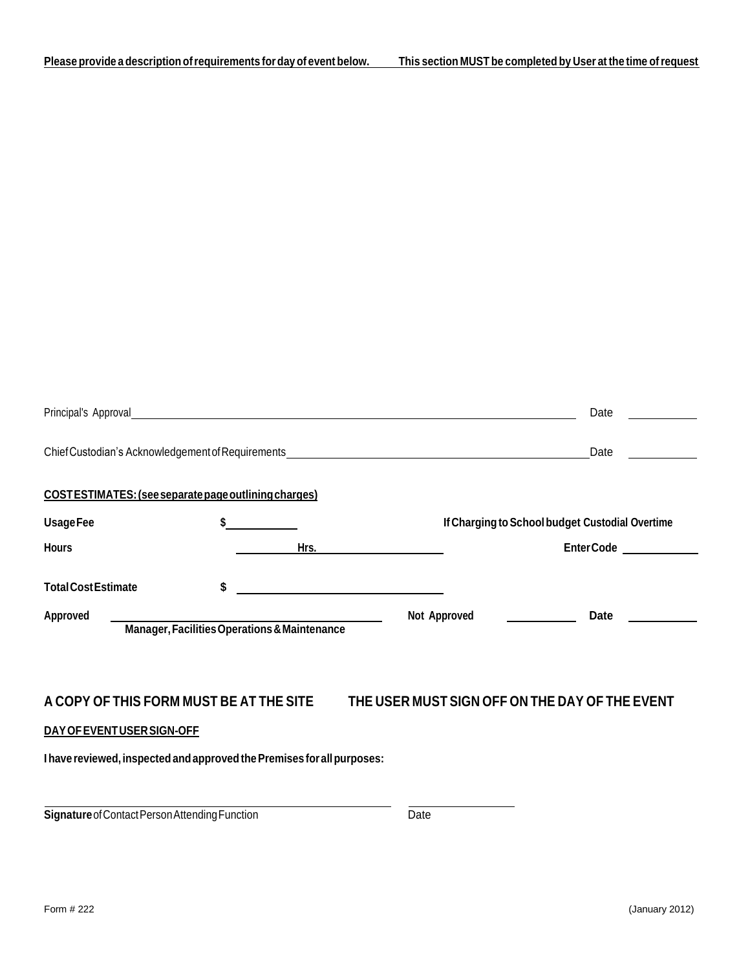|                                               |                                                                        |                                              |                                                                                  | Date       |
|-----------------------------------------------|------------------------------------------------------------------------|----------------------------------------------|----------------------------------------------------------------------------------|------------|
|                                               |                                                                        |                                              | Chief Custodian's Acknowledgement of Requirements_______________________________ | Date       |
|                                               | COSTESTIMATES: (see separate page outlining charges)                   |                                              |                                                                                  |            |
| <b>UsageFee</b>                               |                                                                        |                                              | If Charging to School budget Custodial Overtime                                  |            |
| <b>Hours</b>                                  |                                                                        | Hrs.                                         |                                                                                  | Enter Code |
| <b>Total Cost Estimate</b><br><b>Approved</b> |                                                                        | \$                                           | Not Approved                                                                     | Date       |
|                                               |                                                                        |                                              |                                                                                  |            |
|                                               | A COPY OF THIS FORM MUST BE AT THE SITE                                |                                              | THE USER MUST SIGN OFF ON THE DAY OF THE EVENT                                   |            |
|                                               | DAY OF EVENT USER SIGN-OFF                                             |                                              |                                                                                  |            |
|                                               | I have reviewed, inspected and approved the Premises for all purposes: |                                              |                                                                                  |            |
|                                               |                                                                        | Manager, Facilities Operations & Maintenance |                                                                                  |            |

**Signature** of Contact Person Attending Function Date